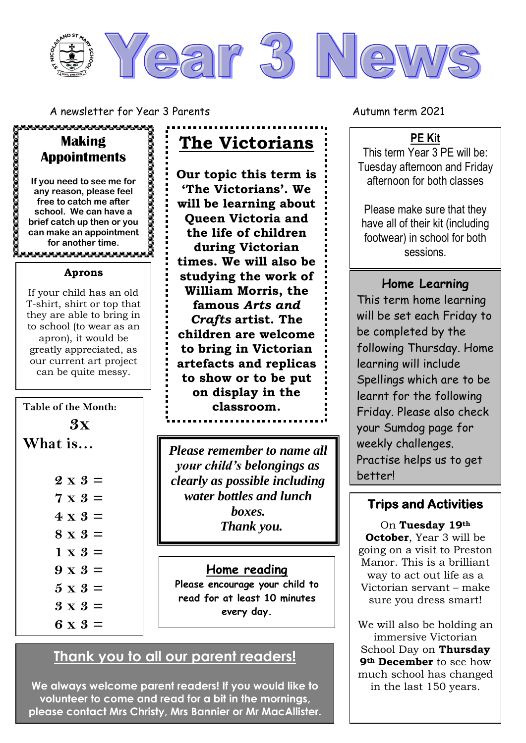

A newsletter for Year 3 Parents Autumn term 2021

### **Making Appointments**

,,,,,,,,,,,,,,,,,,,,,,

**If you need to see me for any reason, please feel free to catch me after school. We can have a brief catch up then or you can make an appointment for another time.**

#### **Aprons**

If your child has an old T-shirt, shirt or top that they are able to bring in to school (to wear as an apron), it would be greatly appreciated, as our current art project can be quite messy.

### **Table of the Month:**

- **3x What is…**
	- **2 x 3 = 7 x 3 = 4 x 3 = 8 x 3 = 1 x 3 = 9 x 3 =**
	-
	- **5 x 3 =**
	- **3 x 3 =**
	- **6 x 3 =**

**The Victorians**

**Our topic this term is 'The Victorians'. We will be learning about Queen Victoria and the life of children during Victorian times. We will also be studying the work of William Morris, the famous** *Arts and Crafts* **artist. The children are welcome to bring in Victorian artefacts and replicas to show or to be put on display in the classroom.** 

*Please remember to name all your child's belongings as clearly as possible including water bottles and lunch boxes. Thank you.* 

### **Home reading**

**Please encourage your child to read for at least 10 minutes every day.** 

# **Thank you to all our parent readers!**

**We always welcome parent readers! If you would like to volunteer to come and read for a bit in the mornings, please contact Mrs Christy, Mrs Bannier or Mr MacAllister.**

### **PE Kit**

This term Year 3 PE will be: Tuesday afternoon and Friday afternoon for both classes

Please make sure that they have all of their kit (including footwear) in school for both sessions.

# **Home Learning**

This term home learning will be set each Friday to be completed by the following Thursday. Home learning will include Spellings which are to be learnt for the following Friday. Please also check your Sumdog page for weekly challenges. Practise helps us to get better!

## **Trips and Activities**

On **Tuesday 19th October**, Year 3 will be going on a visit to Preston Manor. This is a brilliant way to act out life as a Victorian servant – make sure you dress smart!

We will also be holding an immersive Victorian School Day on **Thursday 9th December** to see how much school has changed in the last 150 years.